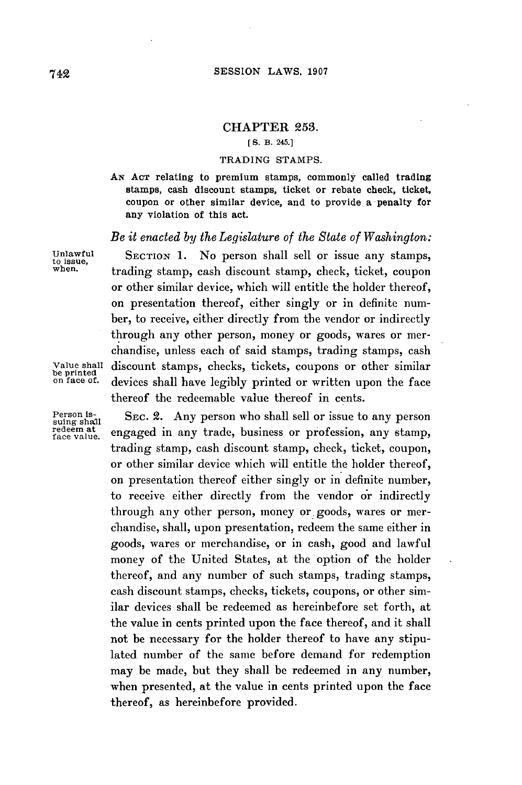## **CHAPTER 253.**

## **[ S. B. 245.]**

## **TRADING STAMPS.**

**AN ACT** relating to premium stamps, commonly called trading stamps, cash discount stamps, ticket or rebate check, ticket, coupon or other similar device, and to provide a penalty for any violation of this act.

## *Be it enacted by the Legislature of the State of Washington:*

Unlawful SECTION **1.** No person shall sell or issue any stamps, to issue, when, trading stamp, cash discount stamp, check, ticket, coupon or other similar device, which will entitle the holder thereof, on presentation thereof, either singly or in definite number, to receive, either directly from the vendor or indirectly through any other person, money or goods, wares or merchandise, unless each of said stamps, trading stamps, cash Value shall discount stamps, checks, tickets, coupons or other similar be printed on face of. devices shall have legibly printed or written upon the face thereof the redeemable value thereof in cents.

Person is-<br>
suing shall SEC. 2. Any person who shall sell or issue to any person<br>
redeem at an gas red in any trade business or profession any stamp redeem at engaged in any trade, business or profession, any stamp, trading stamp, cash discount stamp, check, ticket, coupon, or other similar device which will entitle the holder thereof, on presentation thereof either singly or in definite number, to receive either directly from the vendor or indirectly through any other person, money or goods, wares or merchandise, shall, upon presentation, redeem the same either in goods, wares or merchandise, or in cash, good and lawful money of the United States, at the option of the holder thereof, and any number of such stamps, trading stamps, cash discount stamps, checks, tickets, coupons, or other similar devices shall be redeemed as hereinbefore set forth, at the value in cents printed upon the face thereof, and it shall not be necessary for the holder thereof to have any stipulated number of the same before demand for redemption may be made, but they shall **be** redeemed in any number, when presented, at the value in cents printed upon the face thereof, as hereinbefore provided.